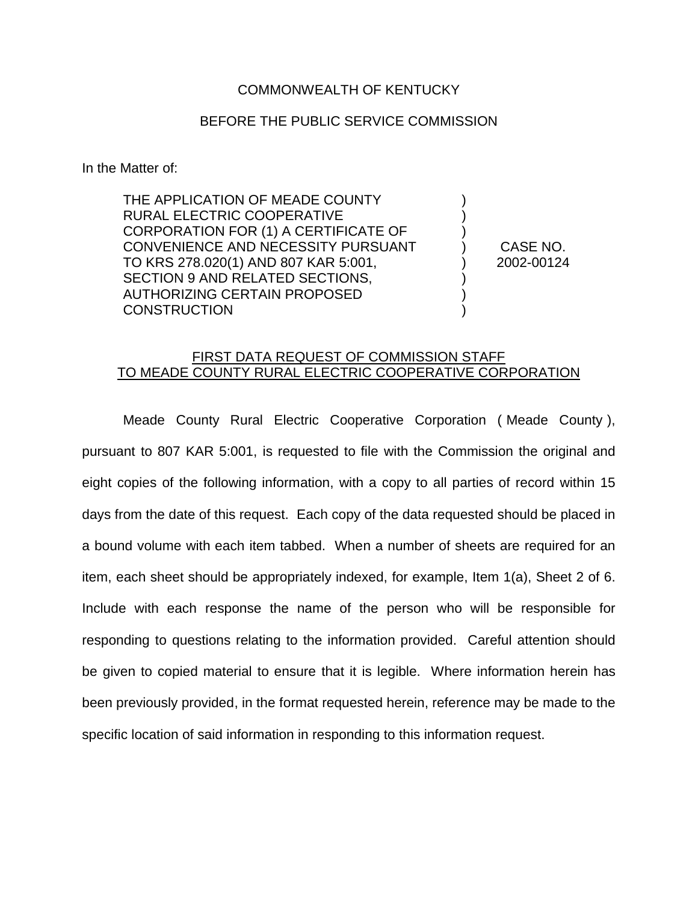## COMMONWEALTH OF KENTUCKY

## BEFORE THE PUBLIC SERVICE COMMISSION

In the Matter of:

THE APPLICATION OF MEADE COUNTY RURAL ELECTRIC COOPERATIVE CORPORATION FOR (1) A CERTIFICATE OF CONVENIENCE AND NECESSITY PURSUANT TO KRS 278.020(1) AND 807 KAR 5:001, SECTION 9 AND RELATED SECTIONS, AUTHORIZING CERTAIN PROPOSED **CONSTRUCTION** 

) CASE NO. ) 2002-00124

) ) )

) ) )

## FIRST DATA REQUEST OF COMMISSION STAFF TO MEADE COUNTY RURAL ELECTRIC COOPERATIVE CORPORATION

Meade County Rural Electric Cooperative Corporation ( Meade County ), pursuant to 807 KAR 5:001, is requested to file with the Commission the original and eight copies of the following information, with a copy to all parties of record within 15 days from the date of this request. Each copy of the data requested should be placed in a bound volume with each item tabbed. When a number of sheets are required for an item, each sheet should be appropriately indexed, for example, Item 1(a), Sheet 2 of 6. Include with each response the name of the person who will be responsible for responding to questions relating to the information provided. Careful attention should be given to copied material to ensure that it is legible. Where information herein has been previously provided, in the format requested herein, reference may be made to the specific location of said information in responding to this information request.